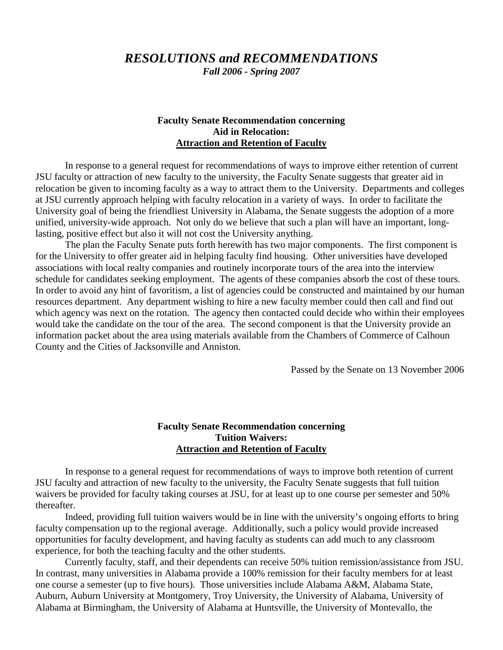# *RESOLUTIONS and RECOMMENDATIONS*

*Fall 2006 - Spring 2007*

#### **Faculty Senate Recommendation concerning Aid in Relocation: Attraction and Retention of Faculty**

In response to a general request for recommendations of ways to improve either retention of current JSU faculty or attraction of new faculty to the university, the Faculty Senate suggests that greater aid in relocation be given to incoming faculty as a way to attract them to the University. Departments and colleges at JSU currently approach helping with faculty relocation in a variety of ways. In order to facilitate the University goal of being the friendliest University in Alabama, the Senate suggests the adoption of a more unified, university-wide approach. Not only do we believe that such a plan will have an important, longlasting, positive effect but also it will not cost the University anything.

The plan the Faculty Senate puts forth herewith has two major components. The first component is for the University to offer greater aid in helping faculty find housing. Other universities have developed associations with local realty companies and routinely incorporate tours of the area into the interview schedule for candidates seeking employment. The agents of these companies absorb the cost of these tours. In order to avoid any hint of favoritism, a list of agencies could be constructed and maintained by our human resources department. Any department wishing to hire a new faculty member could then call and find out which agency was next on the rotation. The agency then contacted could decide who within their employees would take the candidate on the tour of the area. The second component is that the University provide an information packet about the area using materials available from the Chambers of Commerce of Calhoun County and the Cities of Jacksonville and Anniston.

Passed by the Senate on 13 November 2006

## **Faculty Senate Recommendation concerning Tuition Waivers: Attraction and Retention of Faculty**

In response to a general request for recommendations of ways to improve both retention of current JSU faculty and attraction of new faculty to the university, the Faculty Senate suggests that full tuition waivers be provided for faculty taking courses at JSU, for at least up to one course per semester and 50% thereafter.

Indeed, providing full tuition waivers would be in line with the university's ongoing efforts to bring faculty compensation up to the regional average. Additionally, such a policy would provide increased opportunities for faculty development, and having faculty as students can add much to any classroom experience, for both the teaching faculty and the other students.

Currently faculty, staff, and their dependents can receive 50% tuition remission/assistance from JSU. In contrast, many universities in Alabama provide a 100% remission for their faculty members for at least one course a semester (up to five hours). Those universities include Alabama A&M, Alabama State, Auburn, Auburn University at Montgomery, Troy University, the University of Alabama, University of Alabama at Birmingham, the University of Alabama at Huntsville, the University of Montevallo, the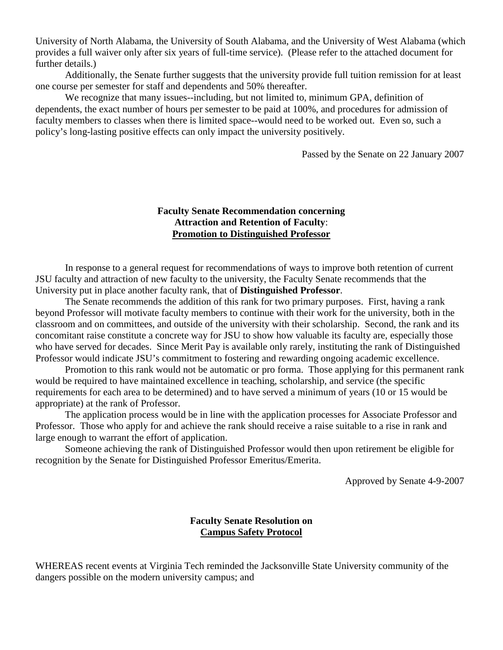University of North Alabama, the University of South Alabama, and the University of West Alabama (which provides a full waiver only after six years of full-time service). (Please refer to the attached document for further details.)

Additionally, the Senate further suggests that the university provide full tuition remission for at least one course per semester for staff and dependents and 50% thereafter.

We recognize that many issues--including, but not limited to, minimum GPA, definition of dependents, the exact number of hours per semester to be paid at 100%, and procedures for admission of faculty members to classes when there is limited space--would need to be worked out. Even so, such a policy's long-lasting positive effects can only impact the university positively.

Passed by the Senate on 22 January 2007

## **Faculty Senate Recommendation concerning Attraction and Retention of Faculty**: **Promotion to Distinguished Professor**

In response to a general request for recommendations of ways to improve both retention of current JSU faculty and attraction of new faculty to the university, the Faculty Senate recommends that the University put in place another faculty rank, that of **Distinguished Professor**.

The Senate recommends the addition of this rank for two primary purposes. First, having a rank beyond Professor will motivate faculty members to continue with their work for the university, both in the classroom and on committees, and outside of the university with their scholarship. Second, the rank and its concomitant raise constitute a concrete way for JSU to show how valuable its faculty are, especially those who have served for decades. Since Merit Pay is available only rarely, instituting the rank of Distinguished Professor would indicate JSU's commitment to fostering and rewarding ongoing academic excellence.

Promotion to this rank would not be automatic or pro forma. Those applying for this permanent rank would be required to have maintained excellence in teaching, scholarship, and service (the specific requirements for each area to be determined) and to have served a minimum of years (10 or 15 would be appropriate) at the rank of Professor.

The application process would be in line with the application processes for Associate Professor and Professor. Those who apply for and achieve the rank should receive a raise suitable to a rise in rank and large enough to warrant the effort of application.

Someone achieving the rank of Distinguished Professor would then upon retirement be eligible for recognition by the Senate for Distinguished Professor Emeritus/Emerita.

Approved by Senate 4-9-2007

## **Faculty Senate Resolution on Campus Safety Protocol**

WHEREAS recent events at Virginia Tech reminded the Jacksonville State University community of the dangers possible on the modern university campus; and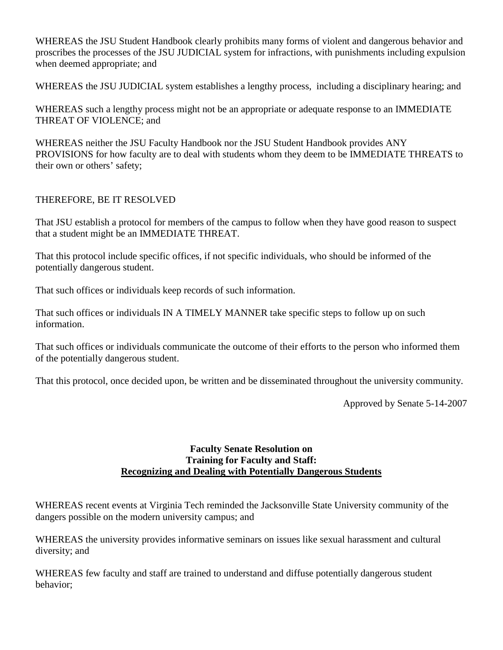WHEREAS the JSU Student Handbook clearly prohibits many forms of violent and dangerous behavior and proscribes the processes of the JSU JUDICIAL system for infractions, with punishments including expulsion when deemed appropriate; and

WHEREAS the JSU JUDICIAL system establishes a lengthy process, including a disciplinary hearing; and

WHEREAS such a lengthy process might not be an appropriate or adequate response to an IMMEDIATE THREAT OF VIOLENCE; and

WHEREAS neither the JSU Faculty Handbook nor the JSU Student Handbook provides ANY PROVISIONS for how faculty are to deal with students whom they deem to be IMMEDIATE THREATS to their own or others' safety;

# THEREFORE, BE IT RESOLVED

That JSU establish a protocol for members of the campus to follow when they have good reason to suspect that a student might be an IMMEDIATE THREAT.

That this protocol include specific offices, if not specific individuals, who should be informed of the potentially dangerous student.

That such offices or individuals keep records of such information.

That such offices or individuals IN A TIMELY MANNER take specific steps to follow up on such information.

That such offices or individuals communicate the outcome of their efforts to the person who informed them of the potentially dangerous student.

That this protocol, once decided upon, be written and be disseminated throughout the university community.

Approved by Senate 5-14-2007

# **Faculty Senate Resolution on Training for Faculty and Staff: Recognizing and Dealing with Potentially Dangerous Students**

WHEREAS recent events at Virginia Tech reminded the Jacksonville State University community of the dangers possible on the modern university campus; and

WHEREAS the university provides informative seminars on issues like sexual harassment and cultural diversity; and

WHEREAS few faculty and staff are trained to understand and diffuse potentially dangerous student behavior;